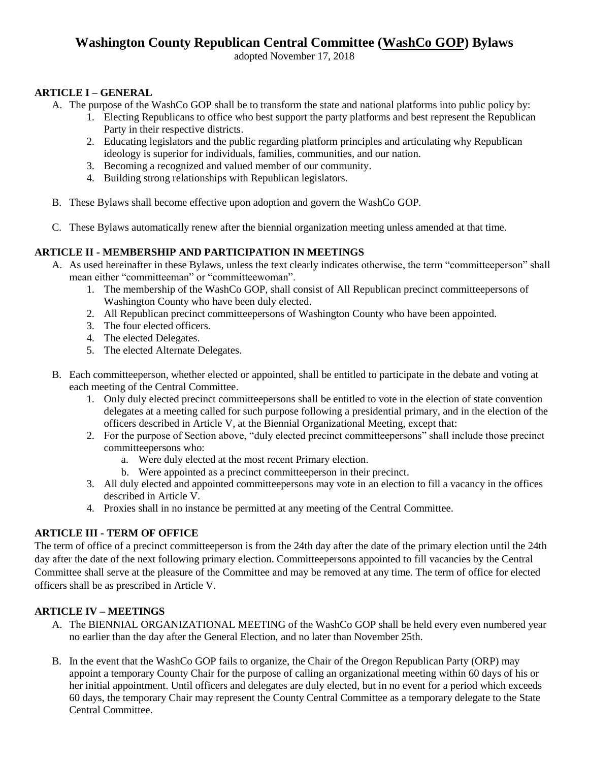# **Washington County Republican Central Committee (WashCo GOP) Bylaws**

adopted November 17, 2018

## **ARTICLE I – GENERAL**

- A. The purpose of the WashCo GOP shall be to transform the state and national platforms into public policy by:
	- 1. Electing Republicans to office who best support the party platforms and best represent the Republican Party in their respective districts.
	- 2. Educating legislators and the public regarding platform principles and articulating why Republican ideology is superior for individuals, families, communities, and our nation.
	- 3. Becoming a recognized and valued member of our community.
	- 4. Building strong relationships with Republican legislators.
- B. These Bylaws shall become effective upon adoption and govern the WashCo GOP.
- C. These Bylaws automatically renew after the biennial organization meeting unless amended at that time.

## **ARTICLE II - MEMBERSHIP AND PARTICIPATION IN MEETINGS**

- A. As used hereinafter in these Bylaws, unless the text clearly indicates otherwise, the term "committeeperson" shall mean either "committeeman" or "committeewoman".
	- 1. The membership of the WashCo GOP, shall consist of All Republican precinct committeepersons of Washington County who have been duly elected.
	- 2. All Republican precinct committeepersons of Washington County who have been appointed.
	- 3. The four elected officers.
	- 4. The elected Delegates.
	- 5. The elected Alternate Delegates.
- B. Each committeeperson, whether elected or appointed, shall be entitled to participate in the debate and voting at each meeting of the Central Committee.
	- 1. Only duly elected precinct committeepersons shall be entitled to vote in the election of state convention delegates at a meeting called for such purpose following a presidential primary, and in the election of the officers described in Article V, at the Biennial Organizational Meeting, except that:
	- 2. For the purpose of Section above, "duly elected precinct committeepersons" shall include those precinct committeepersons who:
		- a. Were duly elected at the most recent Primary election.
		- b. Were appointed as a precinct committeeperson in their precinct.
	- 3. All duly elected and appointed committeepersons may vote in an election to fill a vacancy in the offices described in Article V.
	- 4. Proxies shall in no instance be permitted at any meeting of the Central Committee.

## **ARTICLE III - TERM OF OFFICE**

The term of office of a precinct committeeperson is from the 24th day after the date of the primary election until the 24th day after the date of the next following primary election. Committeepersons appointed to fill vacancies by the Central Committee shall serve at the pleasure of the Committee and may be removed at any time. The term of office for elected officers shall be as prescribed in Article V.

# **ARTICLE IV – MEETINGS**

- A. The BIENNIAL ORGANIZATIONAL MEETING of the WashCo GOP shall be held every even numbered year no earlier than the day after the General Election, and no later than November 25th.
- B. In the event that the WashCo GOP fails to organize, the Chair of the Oregon Republican Party (ORP) may appoint a temporary County Chair for the purpose of calling an organizational meeting within 60 days of his or her initial appointment. Until officers and delegates are duly elected, but in no event for a period which exceeds 60 days, the temporary Chair may represent the County Central Committee as a temporary delegate to the State Central Committee.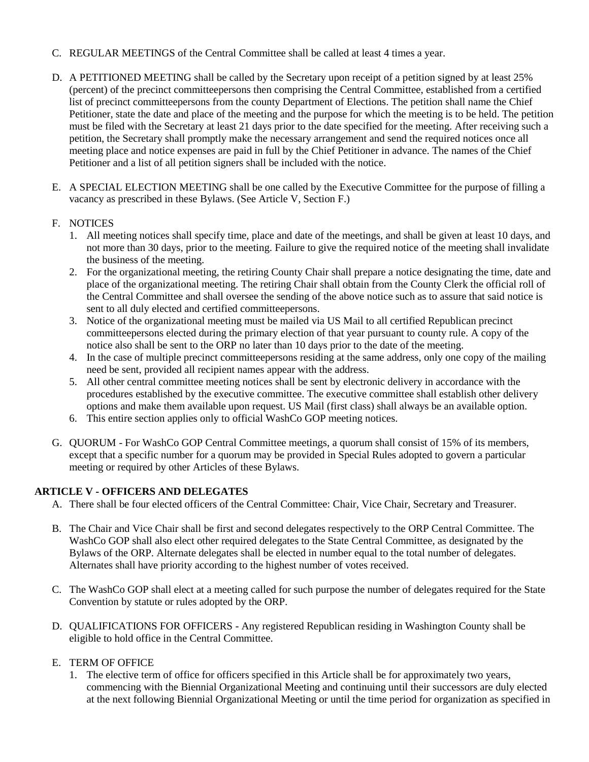- C. REGULAR MEETINGS of the Central Committee shall be called at least 4 times a year.
- D. A PETITIONED MEETING shall be called by the Secretary upon receipt of a petition signed by at least 25% (percent) of the precinct committeepersons then comprising the Central Committee, established from a certified list of precinct committeepersons from the county Department of Elections. The petition shall name the Chief Petitioner, state the date and place of the meeting and the purpose for which the meeting is to be held. The petition must be filed with the Secretary at least 21 days prior to the date specified for the meeting. After receiving such a petition, the Secretary shall promptly make the necessary arrangement and send the required notices once all meeting place and notice expenses are paid in full by the Chief Petitioner in advance. The names of the Chief Petitioner and a list of all petition signers shall be included with the notice.
- E. A SPECIAL ELECTION MEETING shall be one called by the Executive Committee for the purpose of filling a vacancy as prescribed in these Bylaws. (See Article V, Section F.)

# F. NOTICES

- 1. All meeting notices shall specify time, place and date of the meetings, and shall be given at least 10 days, and not more than 30 days, prior to the meeting. Failure to give the required notice of the meeting shall invalidate the business of the meeting.
- 2. For the organizational meeting, the retiring County Chair shall prepare a notice designating the time, date and place of the organizational meeting. The retiring Chair shall obtain from the County Clerk the official roll of the Central Committee and shall oversee the sending of the above notice such as to assure that said notice is sent to all duly elected and certified committeepersons.
- 3. Notice of the organizational meeting must be mailed via US Mail to all certified Republican precinct committeepersons elected during the primary election of that year pursuant to county rule. A copy of the notice also shall be sent to the ORP no later than 10 days prior to the date of the meeting.
- 4. In the case of multiple precinct committeepersons residing at the same address, only one copy of the mailing need be sent, provided all recipient names appear with the address.
- 5. All other central committee meeting notices shall be sent by electronic delivery in accordance with the procedures established by the executive committee. The executive committee shall establish other delivery options and make them available upon request. US Mail (first class) shall always be an available option.
- 6. This entire section applies only to official WashCo GOP meeting notices.
- G. QUORUM For WashCo GOP Central Committee meetings, a quorum shall consist of 15% of its members, except that a specific number for a quorum may be provided in Special Rules adopted to govern a particular meeting or required by other Articles of these Bylaws.

## **ARTICLE V - OFFICERS AND DELEGATES**

- A. There shall be four elected officers of the Central Committee: Chair, Vice Chair, Secretary and Treasurer.
- B. The Chair and Vice Chair shall be first and second delegates respectively to the ORP Central Committee. The WashCo GOP shall also elect other required delegates to the State Central Committee, as designated by the Bylaws of the ORP. Alternate delegates shall be elected in number equal to the total number of delegates. Alternates shall have priority according to the highest number of votes received.
- C. The WashCo GOP shall elect at a meeting called for such purpose the number of delegates required for the State Convention by statute or rules adopted by the ORP.
- D. QUALIFICATIONS FOR OFFICERS Any registered Republican residing in Washington County shall be eligible to hold office in the Central Committee.

## E. TERM OF OFFICE

1. The elective term of office for officers specified in this Article shall be for approximately two years, commencing with the Biennial Organizational Meeting and continuing until their successors are duly elected at the next following Biennial Organizational Meeting or until the time period for organization as specified in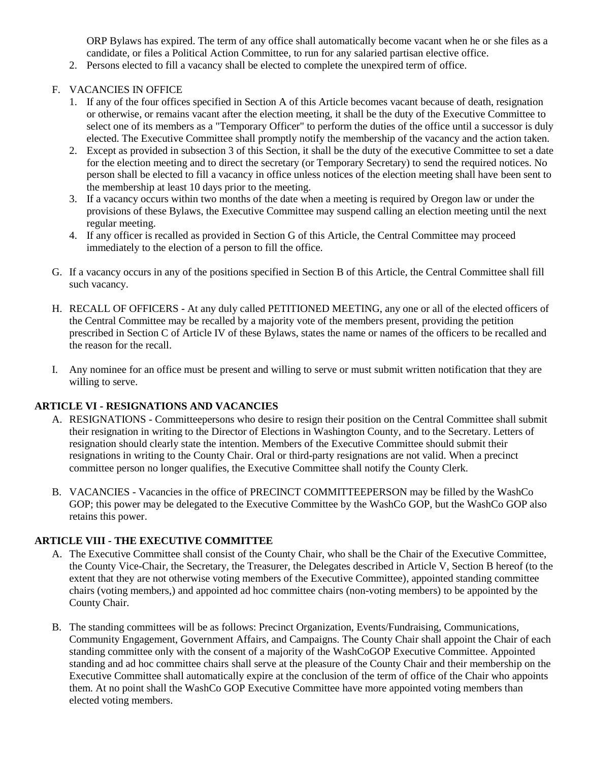ORP Bylaws has expired. The term of any office shall automatically become vacant when he or she files as a candidate, or files a Political Action Committee, to run for any salaried partisan elective office.

2. Persons elected to fill a vacancy shall be elected to complete the unexpired term of office.

#### F. VACANCIES IN OFFICE

- 1. If any of the four offices specified in Section A of this Article becomes vacant because of death, resignation or otherwise, or remains vacant after the election meeting, it shall be the duty of the Executive Committee to select one of its members as a "Temporary Officer" to perform the duties of the office until a successor is duly elected. The Executive Committee shall promptly notify the membership of the vacancy and the action taken.
- 2. Except as provided in subsection 3 of this Section, it shall be the duty of the executive Committee to set a date for the election meeting and to direct the secretary (or Temporary Secretary) to send the required notices. No person shall be elected to fill a vacancy in office unless notices of the election meeting shall have been sent to the membership at least 10 days prior to the meeting.
- 3. If a vacancy occurs within two months of the date when a meeting is required by Oregon law or under the provisions of these Bylaws, the Executive Committee may suspend calling an election meeting until the next regular meeting.
- 4. If any officer is recalled as provided in Section G of this Article, the Central Committee may proceed immediately to the election of a person to fill the office.
- G. If a vacancy occurs in any of the positions specified in Section B of this Article, the Central Committee shall fill such vacancy.
- H. RECALL OF OFFICERS At any duly called PETITIONED MEETING, any one or all of the elected officers of the Central Committee may be recalled by a majority vote of the members present, providing the petition prescribed in Section C of Article IV of these Bylaws, states the name or names of the officers to be recalled and the reason for the recall.
- I. Any nominee for an office must be present and willing to serve or must submit written notification that they are willing to serve.

#### **ARTICLE VI - RESIGNATIONS AND VACANCIES**

- A. RESIGNATIONS Committeepersons who desire to resign their position on the Central Committee shall submit their resignation in writing to the Director of Elections in Washington County, and to the Secretary. Letters of resignation should clearly state the intention. Members of the Executive Committee should submit their resignations in writing to the County Chair. Oral or third-party resignations are not valid. When a precinct committee person no longer qualifies, the Executive Committee shall notify the County Clerk.
- B. VACANCIES Vacancies in the office of PRECINCT COMMITTEEPERSON may be filled by the WashCo GOP; this power may be delegated to the Executive Committee by the WashCo GOP, but the WashCo GOP also retains this power.

## **ARTICLE VIII - THE EXECUTIVE COMMITTEE**

- A. The Executive Committee shall consist of the County Chair, who shall be the Chair of the Executive Committee, the County Vice-Chair, the Secretary, the Treasurer, the Delegates described in Article V, Section B hereof (to the extent that they are not otherwise voting members of the Executive Committee), appointed standing committee chairs (voting members,) and appointed ad hoc committee chairs (non-voting members) to be appointed by the County Chair.
- B. The standing committees will be as follows: Precinct Organization, Events/Fundraising, Communications, Community Engagement, Government Affairs, and Campaigns. The County Chair shall appoint the Chair of each standing committee only with the consent of a majority of the WashCoGOP Executive Committee. Appointed standing and ad hoc committee chairs shall serve at the pleasure of the County Chair and their membership on the Executive Committee shall automatically expire at the conclusion of the term of office of the Chair who appoints them. At no point shall the WashCo GOP Executive Committee have more appointed voting members than elected voting members.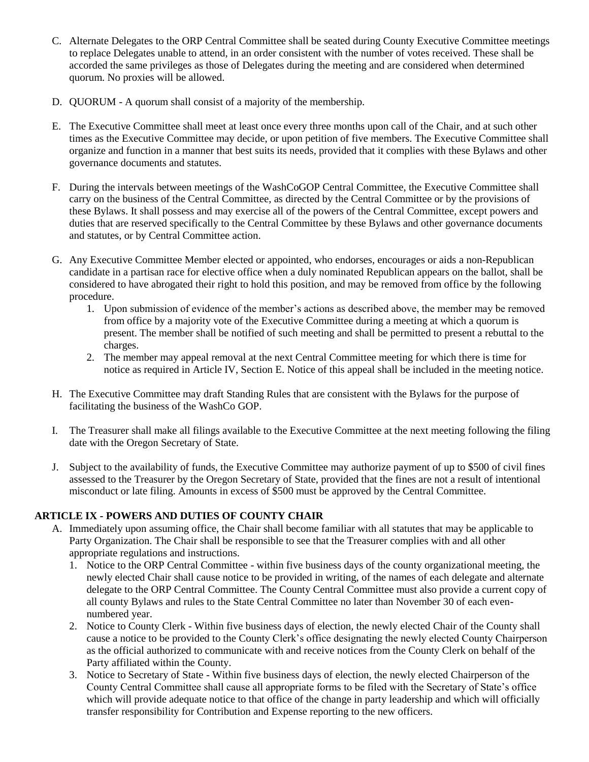- C. Alternate Delegates to the ORP Central Committee shall be seated during County Executive Committee meetings to replace Delegates unable to attend, in an order consistent with the number of votes received. These shall be accorded the same privileges as those of Delegates during the meeting and are considered when determined quorum. No proxies will be allowed.
- D. QUORUM A quorum shall consist of a majority of the membership.
- E. The Executive Committee shall meet at least once every three months upon call of the Chair, and at such other times as the Executive Committee may decide, or upon petition of five members. The Executive Committee shall organize and function in a manner that best suits its needs, provided that it complies with these Bylaws and other governance documents and statutes.
- F. During the intervals between meetings of the WashCoGOP Central Committee, the Executive Committee shall carry on the business of the Central Committee, as directed by the Central Committee or by the provisions of these Bylaws. It shall possess and may exercise all of the powers of the Central Committee, except powers and duties that are reserved specifically to the Central Committee by these Bylaws and other governance documents and statutes, or by Central Committee action.
- G. Any Executive Committee Member elected or appointed, who endorses, encourages or aids a non-Republican candidate in a partisan race for elective office when a duly nominated Republican appears on the ballot, shall be considered to have abrogated their right to hold this position, and may be removed from office by the following procedure.
	- 1. Upon submission of evidence of the member's actions as described above, the member may be removed from office by a majority vote of the Executive Committee during a meeting at which a quorum is present. The member shall be notified of such meeting and shall be permitted to present a rebuttal to the charges.
	- 2. The member may appeal removal at the next Central Committee meeting for which there is time for notice as required in Article IV, Section E. Notice of this appeal shall be included in the meeting notice.
- H. The Executive Committee may draft Standing Rules that are consistent with the Bylaws for the purpose of facilitating the business of the WashCo GOP.
- I. The Treasurer shall make all filings available to the Executive Committee at the next meeting following the filing date with the Oregon Secretary of State.
- J. Subject to the availability of funds, the Executive Committee may authorize payment of up to \$500 of civil fines assessed to the Treasurer by the Oregon Secretary of State, provided that the fines are not a result of intentional misconduct or late filing. Amounts in excess of \$500 must be approved by the Central Committee.

## **ARTICLE IX - POWERS AND DUTIES OF COUNTY CHAIR**

- A. Immediately upon assuming office, the Chair shall become familiar with all statutes that may be applicable to Party Organization. The Chair shall be responsible to see that the Treasurer complies with and all other appropriate regulations and instructions.
	- 1. Notice to the ORP Central Committee within five business days of the county organizational meeting, the newly elected Chair shall cause notice to be provided in writing, of the names of each delegate and alternate delegate to the ORP Central Committee. The County Central Committee must also provide a current copy of all county Bylaws and rules to the State Central Committee no later than November 30 of each evennumbered year.
	- 2. Notice to County Clerk Within five business days of election, the newly elected Chair of the County shall cause a notice to be provided to the County Clerk's office designating the newly elected County Chairperson as the official authorized to communicate with and receive notices from the County Clerk on behalf of the Party affiliated within the County.
	- 3. Notice to Secretary of State Within five business days of election, the newly elected Chairperson of the County Central Committee shall cause all appropriate forms to be filed with the Secretary of State's office which will provide adequate notice to that office of the change in party leadership and which will officially transfer responsibility for Contribution and Expense reporting to the new officers.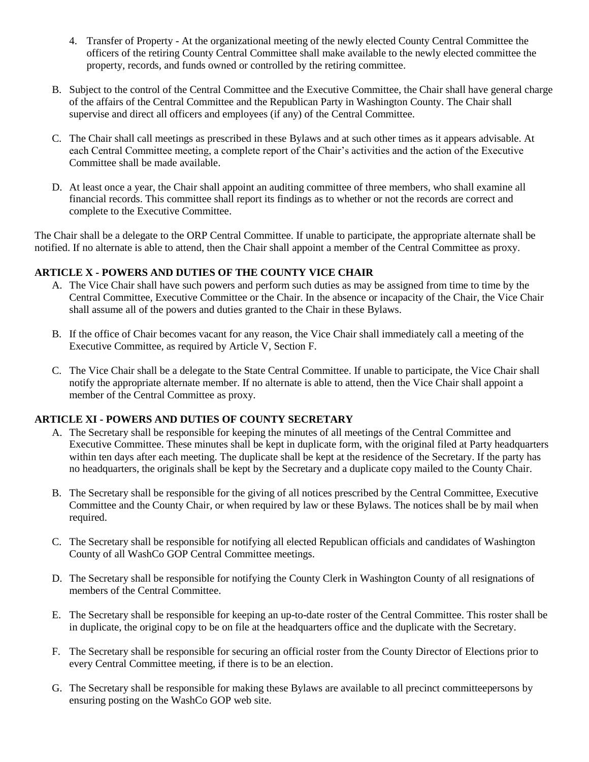- 4. Transfer of Property At the organizational meeting of the newly elected County Central Committee the officers of the retiring County Central Committee shall make available to the newly elected committee the property, records, and funds owned or controlled by the retiring committee.
- B. Subject to the control of the Central Committee and the Executive Committee, the Chair shall have general charge of the affairs of the Central Committee and the Republican Party in Washington County. The Chair shall supervise and direct all officers and employees (if any) of the Central Committee.
- C. The Chair shall call meetings as prescribed in these Bylaws and at such other times as it appears advisable. At each Central Committee meeting, a complete report of the Chair's activities and the action of the Executive Committee shall be made available.
- D. At least once a year, the Chair shall appoint an auditing committee of three members, who shall examine all financial records. This committee shall report its findings as to whether or not the records are correct and complete to the Executive Committee.

The Chair shall be a delegate to the ORP Central Committee. If unable to participate, the appropriate alternate shall be notified. If no alternate is able to attend, then the Chair shall appoint a member of the Central Committee as proxy.

## **ARTICLE X - POWERS AND DUTIES OF THE COUNTY VICE CHAIR**

- A. The Vice Chair shall have such powers and perform such duties as may be assigned from time to time by the Central Committee, Executive Committee or the Chair. In the absence or incapacity of the Chair, the Vice Chair shall assume all of the powers and duties granted to the Chair in these Bylaws.
- B. If the office of Chair becomes vacant for any reason, the Vice Chair shall immediately call a meeting of the Executive Committee, as required by Article V, Section F.
- C. The Vice Chair shall be a delegate to the State Central Committee. If unable to participate, the Vice Chair shall notify the appropriate alternate member. If no alternate is able to attend, then the Vice Chair shall appoint a member of the Central Committee as proxy.

#### **ARTICLE XI - POWERS AND DUTIES OF COUNTY SECRETARY**

- A. The Secretary shall be responsible for keeping the minutes of all meetings of the Central Committee and Executive Committee. These minutes shall be kept in duplicate form, with the original filed at Party headquarters within ten days after each meeting. The duplicate shall be kept at the residence of the Secretary. If the party has no headquarters, the originals shall be kept by the Secretary and a duplicate copy mailed to the County Chair.
- B. The Secretary shall be responsible for the giving of all notices prescribed by the Central Committee, Executive Committee and the County Chair, or when required by law or these Bylaws. The notices shall be by mail when required.
- C. The Secretary shall be responsible for notifying all elected Republican officials and candidates of Washington County of all WashCo GOP Central Committee meetings.
- D. The Secretary shall be responsible for notifying the County Clerk in Washington County of all resignations of members of the Central Committee.
- E. The Secretary shall be responsible for keeping an up-to-date roster of the Central Committee. This roster shall be in duplicate, the original copy to be on file at the headquarters office and the duplicate with the Secretary.
- F. The Secretary shall be responsible for securing an official roster from the County Director of Elections prior to every Central Committee meeting, if there is to be an election.
- G. The Secretary shall be responsible for making these Bylaws are available to all precinct committeepersons by ensuring posting on the WashCo GOP web site.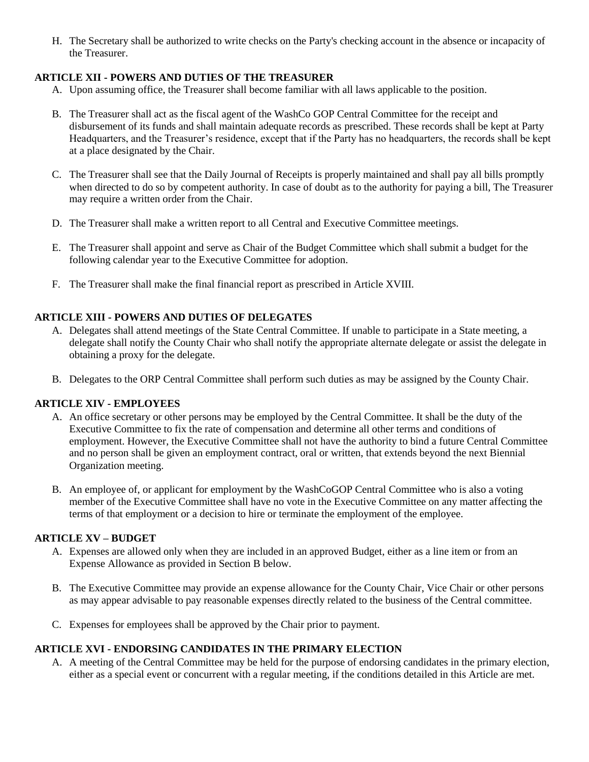H. The Secretary shall be authorized to write checks on the Party's checking account in the absence or incapacity of the Treasurer.

## **ARTICLE XII - POWERS AND DUTIES OF THE TREASURER**

- A. Upon assuming office, the Treasurer shall become familiar with all laws applicable to the position.
- B. The Treasurer shall act as the fiscal agent of the WashCo GOP Central Committee for the receipt and disbursement of its funds and shall maintain adequate records as prescribed. These records shall be kept at Party Headquarters, and the Treasurer's residence, except that if the Party has no headquarters, the records shall be kept at a place designated by the Chair.
- C. The Treasurer shall see that the Daily Journal of Receipts is properly maintained and shall pay all bills promptly when directed to do so by competent authority. In case of doubt as to the authority for paying a bill, The Treasurer may require a written order from the Chair.
- D. The Treasurer shall make a written report to all Central and Executive Committee meetings.
- E. The Treasurer shall appoint and serve as Chair of the Budget Committee which shall submit a budget for the following calendar year to the Executive Committee for adoption.
- F. The Treasurer shall make the final financial report as prescribed in Article XVIII.

## **ARTICLE XIII - POWERS AND DUTIES OF DELEGATES**

- A. Delegates shall attend meetings of the State Central Committee. If unable to participate in a State meeting, a delegate shall notify the County Chair who shall notify the appropriate alternate delegate or assist the delegate in obtaining a proxy for the delegate.
- B. Delegates to the ORP Central Committee shall perform such duties as may be assigned by the County Chair.

## **ARTICLE XIV - EMPLOYEES**

- A. An office secretary or other persons may be employed by the Central Committee. It shall be the duty of the Executive Committee to fix the rate of compensation and determine all other terms and conditions of employment. However, the Executive Committee shall not have the authority to bind a future Central Committee and no person shall be given an employment contract, oral or written, that extends beyond the next Biennial Organization meeting.
- B. An employee of, or applicant for employment by the WashCoGOP Central Committee who is also a voting member of the Executive Committee shall have no vote in the Executive Committee on any matter affecting the terms of that employment or a decision to hire or terminate the employment of the employee.

#### **ARTICLE XV – BUDGET**

- A. Expenses are allowed only when they are included in an approved Budget, either as a line item or from an Expense Allowance as provided in Section B below.
- B. The Executive Committee may provide an expense allowance for the County Chair, Vice Chair or other persons as may appear advisable to pay reasonable expenses directly related to the business of the Central committee.
- C. Expenses for employees shall be approved by the Chair prior to payment.

## **ARTICLE XVI - ENDORSING CANDIDATES IN THE PRIMARY ELECTION**

A. A meeting of the Central Committee may be held for the purpose of endorsing candidates in the primary election, either as a special event or concurrent with a regular meeting, if the conditions detailed in this Article are met.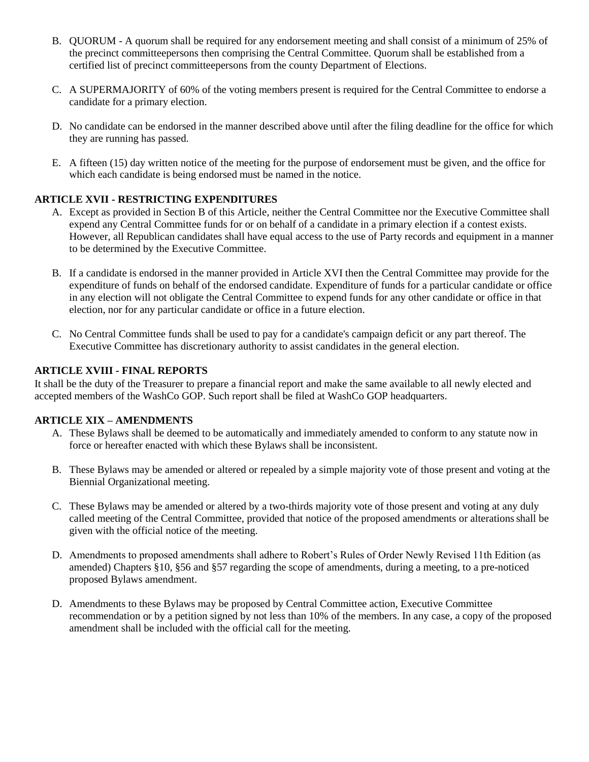- B. QUORUM A quorum shall be required for any endorsement meeting and shall consist of a minimum of 25% of the precinct committeepersons then comprising the Central Committee. Quorum shall be established from a certified list of precinct committeepersons from the county Department of Elections.
- C. A SUPERMAJORITY of 60% of the voting members present is required for the Central Committee to endorse a candidate for a primary election.
- D. No candidate can be endorsed in the manner described above until after the filing deadline for the office for which they are running has passed.
- E. A fifteen (15) day written notice of the meeting for the purpose of endorsement must be given, and the office for which each candidate is being endorsed must be named in the notice.

# **ARTICLE XVII - RESTRICTING EXPENDITURES**

- A. Except as provided in Section B of this Article, neither the Central Committee nor the Executive Committee shall expend any Central Committee funds for or on behalf of a candidate in a primary election if a contest exists. However, all Republican candidates shall have equal access to the use of Party records and equipment in a manner to be determined by the Executive Committee.
- B. If a candidate is endorsed in the manner provided in Article XVI then the Central Committee may provide for the expenditure of funds on behalf of the endorsed candidate. Expenditure of funds for a particular candidate or office in any election will not obligate the Central Committee to expend funds for any other candidate or office in that election, nor for any particular candidate or office in a future election.
- C. No Central Committee funds shall be used to pay for a candidate's campaign deficit or any part thereof. The Executive Committee has discretionary authority to assist candidates in the general election.

## **ARTICLE XVIII - FINAL REPORTS**

It shall be the duty of the Treasurer to prepare a financial report and make the same available to all newly elected and accepted members of the WashCo GOP. Such report shall be filed at WashCo GOP headquarters.

## **ARTICLE XIX – AMENDMENTS**

- A. These Bylaws shall be deemed to be automatically and immediately amended to conform to any statute now in force or hereafter enacted with which these Bylaws shall be inconsistent.
- B. These Bylaws may be amended or altered or repealed by a simple majority vote of those present and voting at the Biennial Organizational meeting.
- C. These Bylaws may be amended or altered by a two-thirds majority vote of those present and voting at any duly called meeting of the Central Committee, provided that notice of the proposed amendments or alterationsshall be given with the official notice of the meeting.
- D. Amendments to proposed amendments shall adhere to Robert's Rules of Order Newly Revised 11th Edition (as amended) Chapters §10, §56 and §57 regarding the scope of amendments, during a meeting, to a pre-noticed proposed Bylaws amendment.
- D. Amendments to these Bylaws may be proposed by Central Committee action, Executive Committee recommendation or by a petition signed by not less than 10% of the members. In any case, a copy of the proposed amendment shall be included with the official call for the meeting.